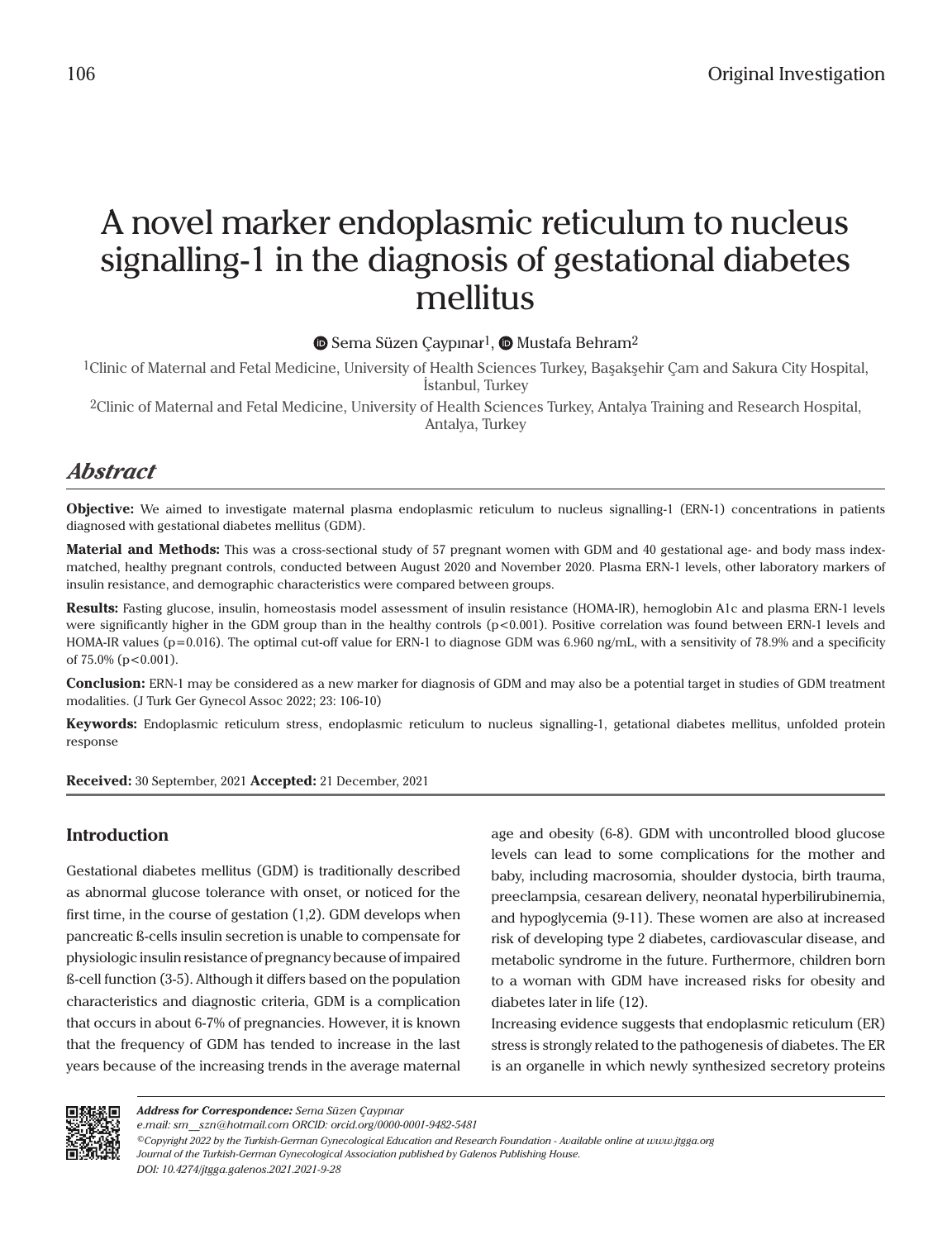# A novel marker endoplasmic reticulum to nucleus signalling-1 in the diagnosis of gestational diabetes mellitus

**■Sema Süzen Çaypınar<sup>1</sup>, ■ Mustafa Behram<sup>2</sup>** 

1Clinic of Maternal and Fetal Medicine, University of Health Sciences Turkey, Başakşehir Çam and Sakura City Hospital, İstanbul, Turkey

2Clinic of Maternal and Fetal Medicine, University of Health Sciences Turkey, Antalya Training and Research Hospital, Antalya, Turkey

# *Abstract*

**Objective:** We aimed to investigate maternal plasma endoplasmic reticulum to nucleus signalling-1 (ERN-1) concentrations in patients diagnosed with gestational diabetes mellitus (GDM).

**Material and Methods:** This was a cross-sectional study of 57 pregnant women with GDM and 40 gestational age- and body mass indexmatched, healthy pregnant controls, conducted between August 2020 and November 2020. Plasma ERN-1 levels, other laboratory markers of insulin resistance, and demographic characteristics were compared between groups.

**Results:** Fasting glucose, insulin, homeostasis model assessment of insulin resistance (HOMA-IR), hemoglobin A1c and plasma ERN-1 levels were significantly higher in the GDM group than in the healthy controls (p<0.001). Positive correlation was found between ERN-1 levels and HOMA-IR values (p=0.016). The optimal cut-off value for ERN-1 to diagnose GDM was 6.960 ng/mL, with a sensitivity of 78.9% and a specificity of 75.0% (p<0.001).

**Conclusion:** ERN-1 may be considered as a new marker for diagnosis of GDM and may also be a potential target in studies of GDM treatment modalities. (J Turk Ger Gynecol Assoc 2022; 23: 106-10)

**Keywords:** Endoplasmic reticulum stress, endoplasmic reticulum to nucleus signalling-1, getational diabetes mellitus, unfolded protein response

**Received:** 30 September, 2021 **Accepted:** 21 December, 2021

# **Introduction**

Gestational diabetes mellitus (GDM) is traditionally described as abnormal glucose tolerance with onset, or noticed for the first time, in the course of gestation (1,2). GDM develops when pancreatic ß-cells insulin secretion is unable to compensate for physiologic insulin resistance of pregnancy because of impaired ß-cell function (3-5). Although it differs based on the population characteristics and diagnostic criteria, GDM is a complication that occurs in about 6-7% of pregnancies. However, it is known that the frequency of GDM has tended to increase in the last years because of the increasing trends in the average maternal

age and obesity (6-8). GDM with uncontrolled blood glucose levels can lead to some complications for the mother and baby, including macrosomia, shoulder dystocia, birth trauma, preeclampsia, cesarean delivery, neonatal hyperbilirubinemia, and hypoglycemia (9-11). These women are also at increased risk of developing type 2 diabetes, cardiovascular disease, and metabolic syndrome in the future. Furthermore, children born to a woman with GDM have increased risks for obesity and diabetes later in life (12).

Increasing evidence suggests that endoplasmic reticulum (ER) stress is strongly related to the pathogenesis of diabetes. The ER is an organelle in which newly synthesized secretory proteins



*e.mail: sm\_\_szn@hotmail.com ORCID: orcid.org/0000-0001-9482-5481*

*<sup>©</sup>Copyright 2022 by the Turkish-German Gynecological Education and Research Foundation - Available online at www.jtgga.org Journal of the Turkish-German Gynecological Association published by Galenos Publishing House. DOI: 10.4274/jtgga.galenos.2021.2021-9-28*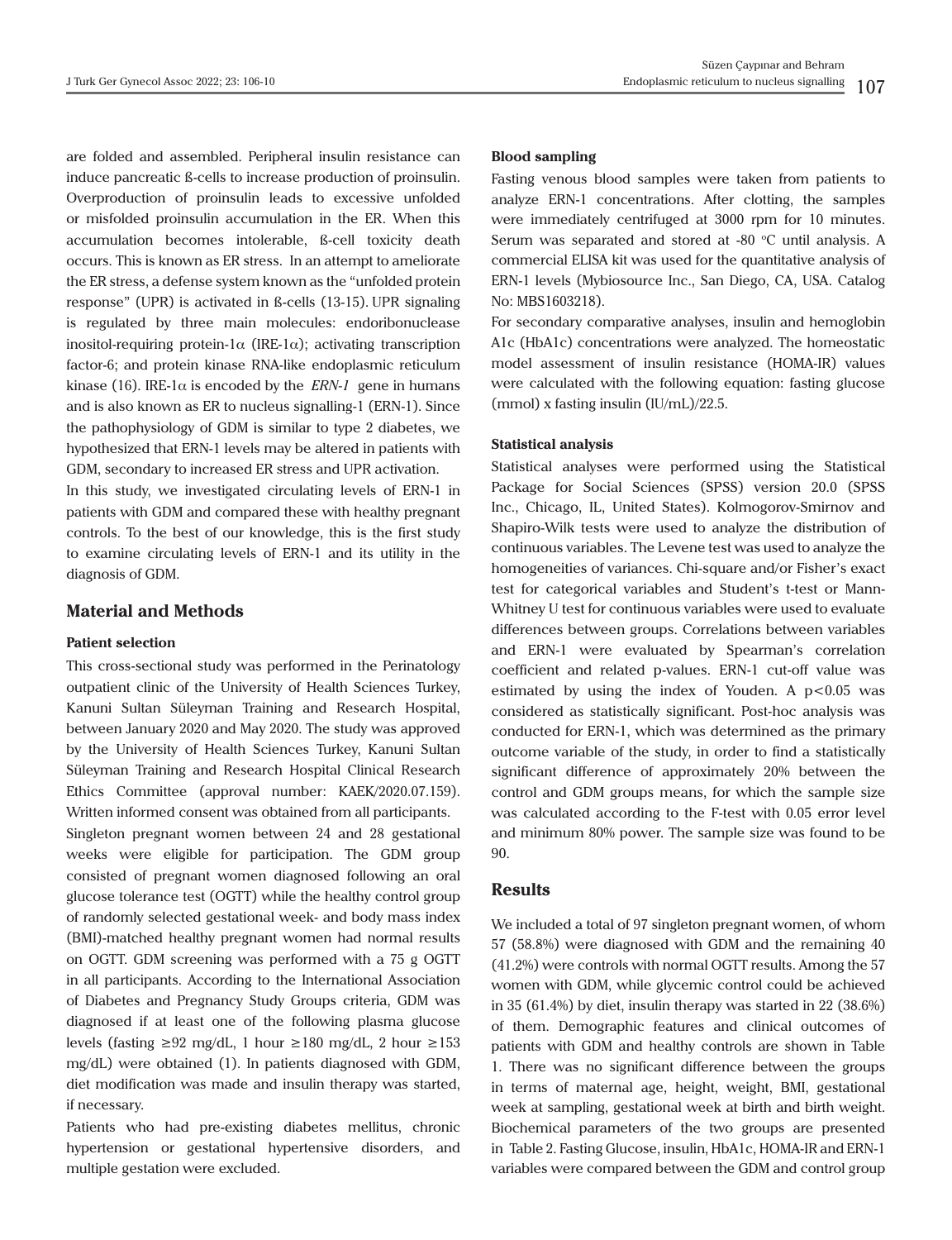are folded and assembled. Peripheral insulin resistance can induce pancreatic ß-cells to increase production of proinsulin. Overproduction of proinsulin leads to excessive unfolded or misfolded proinsulin accumulation in the ER. When this accumulation becomes intolerable, ß-cell toxicity death occurs. This is known as ER stress. In an attempt to ameliorate the ER stress, a defense system known as the "unfolded protein response" (UPR) is activated in ß-cells (13-15). UPR signaling is regulated by three main molecules: endoribonuclease inositol-requiring protein-1 $\alpha$  (IRE-1 $\alpha$ ); activating transcription factor-6; and protein kinase RNA-like endoplasmic reticulum kinase (16). IRE-1 $\alpha$  is encoded by the *ERN-1* gene in humans and is also known as ER to nucleus signalling-1 (ERN-1). Since the pathophysiology of GDM is similar to type 2 diabetes, we hypothesized that ERN-1 levels may be altered in patients with GDM, secondary to increased ER stress and UPR activation.

In this study, we investigated circulating levels of ERN-1 in patients with GDM and compared these with healthy pregnant controls. To the best of our knowledge, this is the first study to examine circulating levels of ERN-1 and its utility in the diagnosis of GDM.

#### **Material and Methods**

#### **Patient selection**

This cross-sectional study was performed in the Perinatology outpatient clinic of the University of Health Sciences Turkey, Kanuni Sultan Süleyman Training and Research Hospital, between January 2020 and May 2020. The study was approved by the University of Health Sciences Turkey, Kanuni Sultan Süleyman Training and Research Hospital Clinical Research Ethics Committee (approval number: KAEK/2020.07.159). Written informed consent was obtained from all participants. Singleton pregnant women between 24 and 28 gestational weeks were eligible for participation. The GDM group consisted of pregnant women diagnosed following an oral glucose tolerance test (OGTT) while the healthy control group of randomly selected gestational week- and body mass index (BMI)-matched healthy pregnant women had normal results on OGTT. GDM screening was performed with a 75 g OGTT in all participants. According to the International Association of Diabetes and Pregnancy Study Groups criteria, GDM was diagnosed if at least one of the following plasma glucose levels (fasting ≥92 mg/dL, 1 hour ≥180 mg/dL, 2 hour ≥153 mg/dL) were obtained (1). In patients diagnosed with GDM, diet modification was made and insulin therapy was started, if necessary.

Patients who had pre-existing diabetes mellitus, chronic hypertension or gestational hypertensive disorders, and multiple gestation were excluded.

#### **Blood sampling**

Fasting venous blood samples were taken from patients to analyze ERN-1 concentrations. After clotting, the samples were immediately centrifuged at 3000 rpm for 10 minutes. Serum was separated and stored at  $-80$  °C until analysis. A commercial ELISA kit was used for the quantitative analysis of ERN-1 levels (Mybiosource Inc., San Diego, CA, USA. Catalog No: MBS1603218).

For secondary comparative analyses, insulin and hemoglobin A1c (HbA1c) concentrations were analyzed. The homeostatic model assessment of insulin resistance (HOMA-IR) values were calculated with the following equation: fasting glucose (mmol) x fasting insulin (lU/mL)/22.5.

#### **Statistical analysis**

Statistical analyses were performed using the Statistical Package for Social Sciences (SPSS) version 20.0 (SPSS Inc., Chicago, IL, United States). Kolmogorov-Smirnov and Shapiro-Wilk tests were used to analyze the distribution of continuous variables. The Levene test was used to analyze the homogeneities of variances. Chi-square and/or Fisher's exact test for categorical variables and Student's t-test or Mann-Whitney U test for continuous variables were used to evaluate differences between groups. Correlations between variables and ERN-1 were evaluated by Spearman's correlation coefficient and related p-values. ERN-1 cut-off value was estimated by using the index of Youden. A  $p < 0.05$  was considered as statistically significant. Post-hoc analysis was conducted for ERN-1, which was determined as the primary outcome variable of the study, in order to find a statistically significant difference of approximately 20% between the control and GDM groups means, for which the sample size was calculated according to the F-test with 0.05 error level and minimum 80% power. The sample size was found to be 90.

## **Results**

We included a total of 97 singleton pregnant women, of whom 57 (58.8%) were diagnosed with GDM and the remaining 40 (41.2%) were controls with normal OGTT results. Among the 57 women with GDM, while glycemic control could be achieved in 35 (61.4%) by diet, insulin therapy was started in 22 (38.6%) of them. Demographic features and clinical outcomes of patients with GDM and healthy controls are shown in Table 1. There was no significant difference between the groups in terms of maternal age, height, weight, BMI, gestational week at sampling, gestational week at birth and birth weight. Biochemical parameters of the two groups are presented in Table 2. Fasting Glucose, insulin, HbA1c, HOMA-IR and ERN-1 variables were compared between the GDM and control group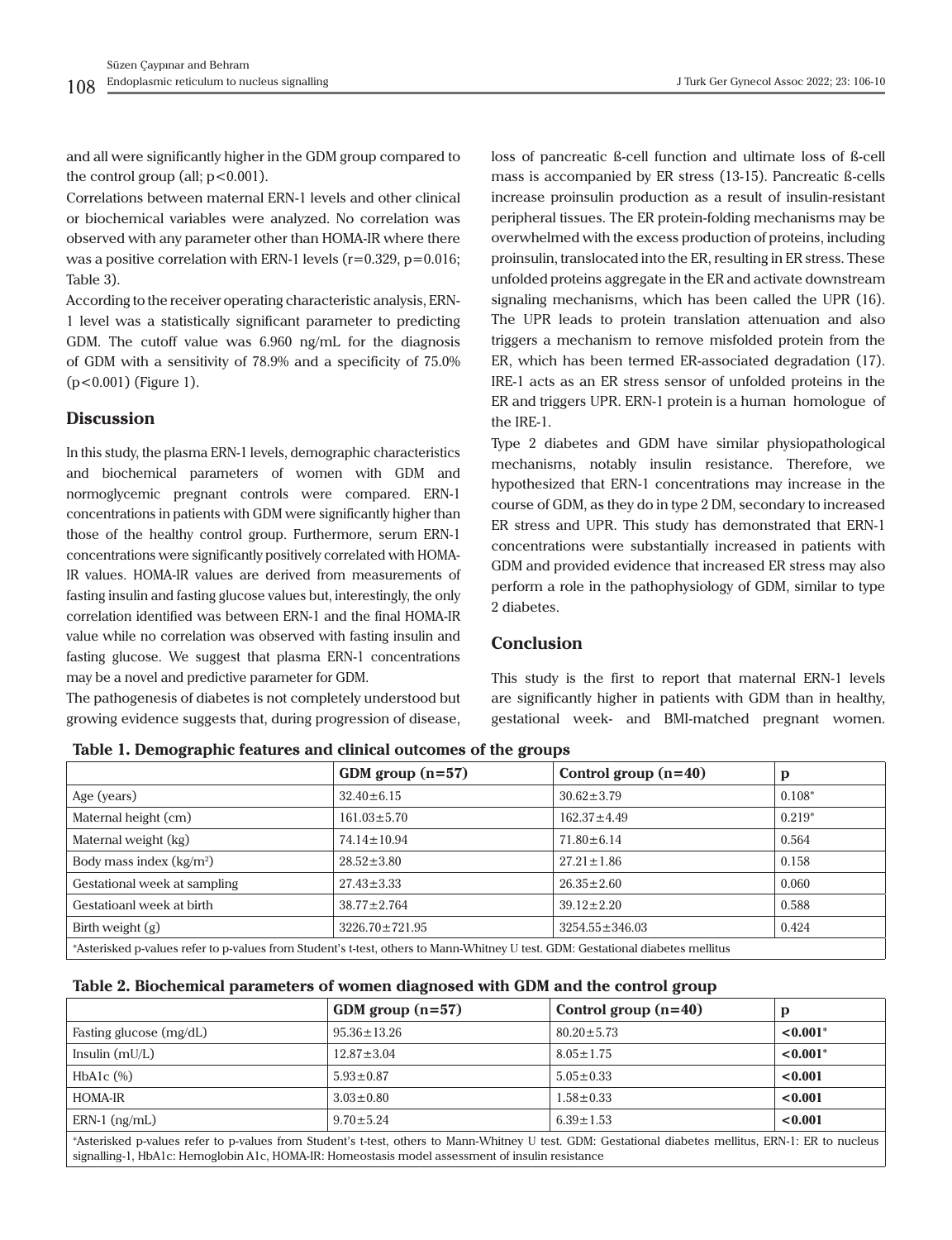and all were significantly higher in the GDM group compared to the control group (all;  $p < 0.001$ ).

Correlations between maternal ERN-1 levels and other clinical or biochemical variables were analyzed. No correlation was observed with any parameter other than HOMA-IR where there was a positive correlation with ERN-1 levels  $(r=0.329, p=0.016;$ Table 3).

According to the receiver operating characteristic analysis, ERN-1 level was a statistically significant parameter to predicting GDM. The cutoff value was 6.960 ng/mL for the diagnosis of GDM with a sensitivity of 78.9% and a specificity of 75.0% (p<0.001) (Figure 1).

### **Discussion**

In this study, the plasma ERN-1 levels, demographic characteristics and biochemical parameters of women with GDM and normoglycemic pregnant controls were compared. ERN-1 concentrations in patients with GDM were significantly higher than those of the healthy control group. Furthermore, serum ERN-1 concentrations were significantly positively correlated with HOMA-IR values. HOMA-IR values are derived from measurements of fasting insulin and fasting glucose values but, interestingly, the only correlation identified was between ERN-1 and the final HOMA-IR value while no correlation was observed with fasting insulin and fasting glucose. We suggest that plasma ERN-1 concentrations may be a novel and predictive parameter for GDM.

The pathogenesis of diabetes is not completely understood but growing evidence suggests that, during progression of disease,

loss of pancreatic ß-cell function and ultimate loss of ß-cell mass is accompanied by ER stress (13-15). Pancreatic ß-cells increase proinsulin production as a result of insulin-resistant peripheral tissues. The ER protein-folding mechanisms may be overwhelmed with the excess production of proteins, including proinsulin, translocated into the ER, resulting in ER stress. These unfolded proteins aggregate in the ER and activate downstream signaling mechanisms, which has been called the UPR (16). The UPR leads to protein translation attenuation and also triggers a mechanism to remove misfolded protein from the ER, which has been termed ER-associated degradation (17). IRE-1 acts as an ER stress sensor of unfolded proteins in the ER and triggers UPR. ERN-1 protein is a human homologue of the IRE-1.

Type 2 diabetes and GDM have similar physiopathological mechanisms, notably insulin resistance. Therefore, we hypothesized that ERN-1 concentrations may increase in the course of GDM, as they do in type 2 DM, secondary to increased ER stress and UPR. This study has demonstrated that ERN-1 concentrations were substantially increased in patients with GDM and provided evidence that increased ER stress may also perform a role in the pathophysiology of GDM, similar to type 2 diabetes.

## **Conclusion**

This study is the first to report that maternal ERN-1 levels are significantly higher in patients with GDM than in healthy, gestational week- and BMI-matched pregnant women.

|                                                                                                                                 | GDM group $(n=57)$   | Control group $(n=40)$ | p        |  |
|---------------------------------------------------------------------------------------------------------------------------------|----------------------|------------------------|----------|--|
| Age (years)                                                                                                                     | $32.40 \pm 6.15$     | $30.62 \pm 3.79$       | $0.108*$ |  |
| Maternal height (cm)                                                                                                            | $161.03 \pm 5.70$    | $162.37 \pm 4.49$      | $0.219*$ |  |
| Maternal weight (kg)                                                                                                            | $74.14 \pm 10.94$    | $71.80 \pm 6.14$       | 0.564    |  |
| Body mass index $(kg/m2)$                                                                                                       | $28.52 \pm 3.80$     | $27.21 \pm 1.86$       | 0.158    |  |
| Gestational week at sampling                                                                                                    | $27.43 \pm 3.33$     | $26.35 \pm 2.60$       | 0.060    |  |
| Gestatioanl week at birth                                                                                                       | $38.77 \pm 2.764$    | $39.12 \pm 2.20$       | 0.588    |  |
| Birth weight $(g)$                                                                                                              | $3226.70 \pm 721.95$ | $3254.55 \pm 346.03$   | 0.424    |  |
| *Asterisked p-values refer to p-values from Student's t-test, others to Mann-Whitney U test. GDM: Gestational diabetes mellitus |                      |                        |          |  |

**Table 1. Demographic features and clinical outcomes of the groups**

| Table 2. Biochemical parameters of women diagnosed with GDM and the control group |  |  |
|-----------------------------------------------------------------------------------|--|--|
|-----------------------------------------------------------------------------------|--|--|

|                                                                                                                                                    | GDM group $(n=57)$ | Control group $(n=40)$ | D                      |  |
|----------------------------------------------------------------------------------------------------------------------------------------------------|--------------------|------------------------|------------------------|--|
| Fasting glucose (mg/dL)                                                                                                                            | $95.36 \pm 13.26$  | $80.20 \pm 5.73$       | $< 0.001$ <sup>*</sup> |  |
| Insulin $(mU/L)$                                                                                                                                   | $12.87 \pm 3.04$   | $8.05 \pm 1.75$        | $< 0.001$ <sup>*</sup> |  |
| HbA <sub>1</sub> c $(\%)$                                                                                                                          | $5.93 \pm 0.87$    | $5.05 \pm 0.33$        | < 0.001                |  |
| HOMA-IR                                                                                                                                            | $3.03 \pm 0.80$    | $1.58 \pm 0.33$        | < 0.001                |  |
| $ERN-1$ (ng/mL)                                                                                                                                    | $9.70 \pm 5.24$    | $6.39 \pm 1.53$        | < 0.001                |  |
| *Asterisked payalues refer to payalues from Student's tatest others to Mann-Whitney U test GDM; Gestational diabetes mellitus FRN-1; FR to pucleus |                    |                        |                        |  |

\*Asterisked p-values refer to p-values from Student's t-test, others to Mann-Whitney U test. GDM: Gestational diabetes mellitus, ERN-1: ER to nucleus signalling-1, HbA1c: Hemoglobin A1c, HOMA-IR: Homeostasis model assessment of insulin resistance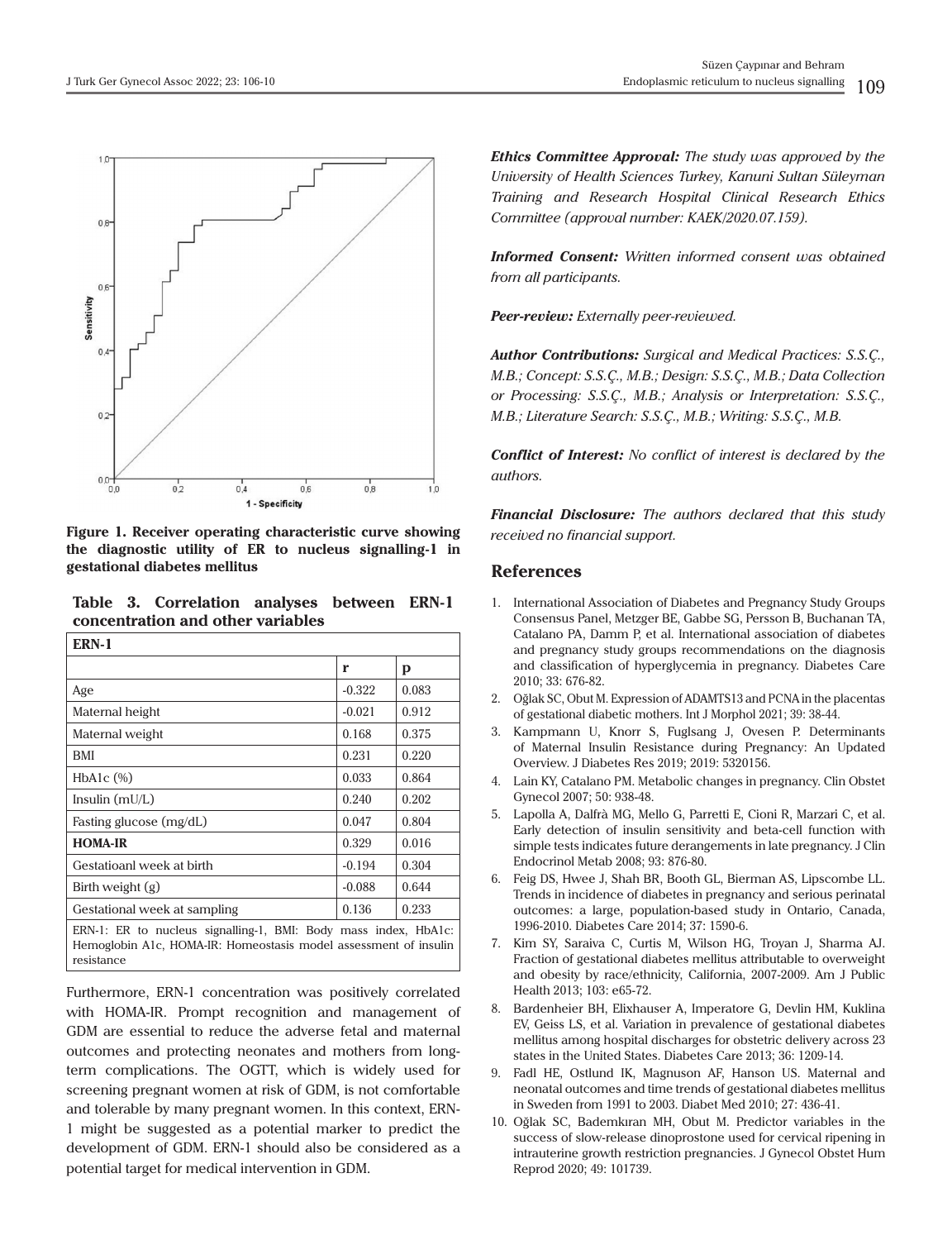

**Figure 1. Receiver operating characteristic curve showing the diagnostic utility of ER to nucleus signalling-1 in gestational diabetes mellitus**

**Table 3. Correlation analyses between ERN-1 concentration and other variables**

| ERN-1                                                           |          |       |  |  |
|-----------------------------------------------------------------|----------|-------|--|--|
|                                                                 | r        | p     |  |  |
| Age                                                             | $-0.322$ | 0.083 |  |  |
| Maternal height                                                 | $-0.021$ | 0.912 |  |  |
| Maternal weight                                                 | 0.168    | 0.375 |  |  |
| BMI                                                             | 0.231    | 0.220 |  |  |
| $HbA1c$ $(\%)$                                                  | 0.033    | 0.864 |  |  |
| Insulin $(mU/L)$                                                | 0.240    | 0.202 |  |  |
| Fasting glucose (mg/dL)                                         | 0.047    | 0.804 |  |  |
| <b>HOMA-IR</b>                                                  | 0.329    | 0.016 |  |  |
| Gestatioanl week at birth                                       | $-0.194$ | 0.304 |  |  |
| Birth weight $(g)$                                              | $-0.088$ | 0.644 |  |  |
| Gestational week at sampling                                    | 0.136    | 0.233 |  |  |
| ERN-1: ER to nucleus signalling-1, BMI: Body mass index, HbA1c: |          |       |  |  |

Hemoglobin A1c, HOMA-IR: Homeostasis model assessment of insulin resistance

Furthermore, ERN-1 concentration was positively correlated with HOMA-IR. Prompt recognition and management of GDM are essential to reduce the adverse fetal and maternal outcomes and protecting neonates and mothers from longterm complications. The OGTT, which is widely used for screening pregnant women at risk of GDM, is not comfortable and tolerable by many pregnant women. In this context, ERN-1 might be suggested as a potential marker to predict the development of GDM. ERN-1 should also be considered as a potential target for medical intervention in GDM.

*Ethics Committee Approval: The study was approved by the University of Health Sciences Turkey, Kanuni Sultan Süleyman Training and Research Hospital Clinical Research Ethics Committee (approval number: KAEK/2020.07.159).*

*Informed Consent: Written informed consent was obtained from all participants.*

*Peer-review: Externally peer-reviewed.*

*Author Contributions: Surgical and Medical Practices: S.S.Ç., M.B.; Concept: S.S.Ç., M.B.; Design: S.S.Ç., M.B.; Data Collection or Processing: S.S.Ç., M.B.; Analysis or Interpretation: S.S.Ç., M.B.; Literature Search: S.S.Ç., M.B.; Writing: S.S.Ç., M.B.*

*Conflict of Interest: No conflict of interest is declared by the authors.*

*Financial Disclosure: The authors declared that this study received no financial support.*

#### **References**

- 1. International Association of Diabetes and Pregnancy Study Groups Consensus Panel, Metzger BE, Gabbe SG, Persson B, Buchanan TA, Catalano PA, Damm P, et al. International association of diabetes and pregnancy study groups recommendations on the diagnosis and classification of hyperglycemia in pregnancy. Diabetes Care 2010; 33: 676-82.
- 2. Oğlak SC, Obut M. Expression of ADAMTS13 and PCNA in the placentas of gestational diabetic mothers. Int J Morphol 2021; 39: 38-44.
- 3. Kampmann U, Knorr S, Fuglsang J, Ovesen P. Determinants of Maternal Insulin Resistance during Pregnancy: An Updated Overview. J Diabetes Res 2019; 2019: 5320156.
- 4. Lain KY, Catalano PM. Metabolic changes in pregnancy. Clin Obstet Gynecol 2007; 50: 938-48.
- 5. Lapolla A, Dalfrà MG, Mello G, Parretti E, Cioni R, Marzari C, et al. Early detection of insulin sensitivity and beta-cell function with simple tests indicates future derangements in late pregnancy. J Clin Endocrinol Metab 2008; 93: 876-80.
- 6. Feig DS, Hwee J, Shah BR, Booth GL, Bierman AS, Lipscombe LL. Trends in incidence of diabetes in pregnancy and serious perinatal outcomes: a large, population-based study in Ontario, Canada, 1996-2010. Diabetes Care 2014; 37: 1590-6.
- 7. Kim SY, Saraiva C, Curtis M, Wilson HG, Troyan J, Sharma AJ. Fraction of gestational diabetes mellitus attributable to overweight and obesity by race/ethnicity, California, 2007-2009. Am J Public Health 2013; 103: e65-72.
- 8. Bardenheier BH, Elixhauser A, Imperatore G, Devlin HM, Kuklina EV, Geiss LS, et al. Variation in prevalence of gestational diabetes mellitus among hospital discharges for obstetric delivery across 23 states in the United States. Diabetes Care 2013; 36: 1209-14.
- 9. Fadl HE, Ostlund IK, Magnuson AF, Hanson US. Maternal and neonatal outcomes and time trends of gestational diabetes mellitus in Sweden from 1991 to 2003. Diabet Med 2010; 27: 436-41.
- 10. Oğlak SC, Bademkıran MH, Obut M. Predictor variables in the success of slow-release dinoprostone used for cervical ripening in intrauterine growth restriction pregnancies. J Gynecol Obstet Hum Reprod 2020; 49: 101739.